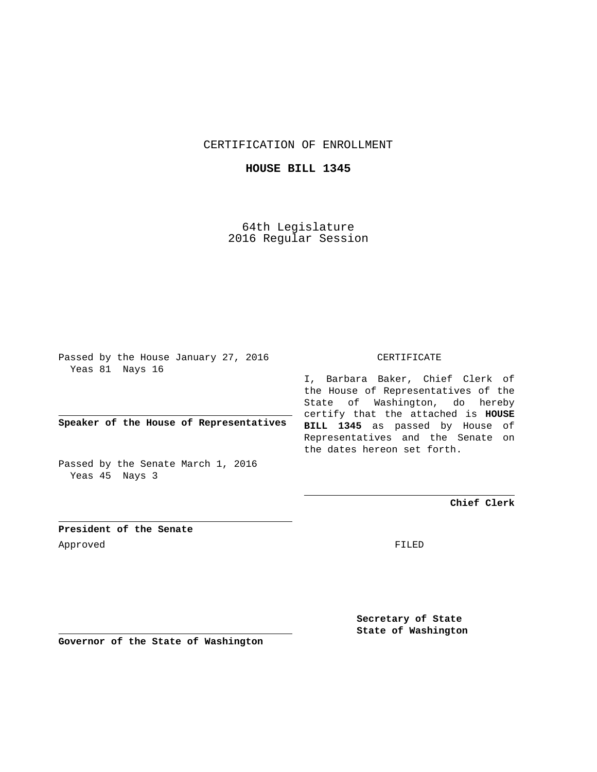CERTIFICATION OF ENROLLMENT

**HOUSE BILL 1345**

64th Legislature 2016 Regular Session

Passed by the House January 27, 2016 Yeas 81 Nays 16

**Speaker of the House of Representatives**

Passed by the Senate March 1, 2016 Yeas 45 Nays 3

## CERTIFICATE

I, Barbara Baker, Chief Clerk of the House of Representatives of the State of Washington, do hereby certify that the attached is **HOUSE BILL 1345** as passed by House of Representatives and the Senate on the dates hereon set forth.

**Chief Clerk**

**President of the Senate** Approved FILED

**Secretary of State State of Washington**

**Governor of the State of Washington**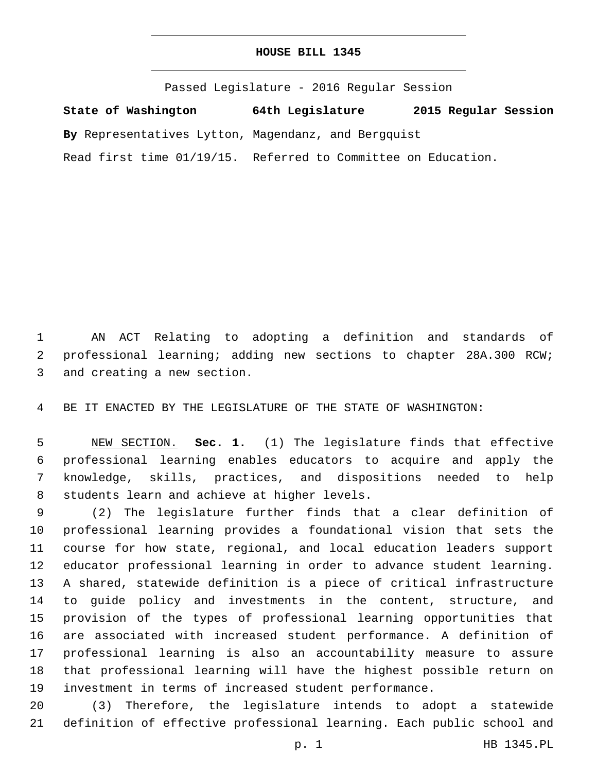## **HOUSE BILL 1345**

Passed Legislature - 2016 Regular Session **State of Washington 64th Legislature 2015 Regular Session By** Representatives Lytton, Magendanz, and Bergquist Read first time 01/19/15. Referred to Committee on Education.

 AN ACT Relating to adopting a definition and standards of professional learning; adding new sections to chapter 28A.300 RCW; 3 and creating a new section.

BE IT ENACTED BY THE LEGISLATURE OF THE STATE OF WASHINGTON:

 NEW SECTION. **Sec. 1.** (1) The legislature finds that effective professional learning enables educators to acquire and apply the knowledge, skills, practices, and dispositions needed to help students learn and achieve at higher levels.

 (2) The legislature further finds that a clear definition of professional learning provides a foundational vision that sets the course for how state, regional, and local education leaders support educator professional learning in order to advance student learning. A shared, statewide definition is a piece of critical infrastructure to guide policy and investments in the content, structure, and provision of the types of professional learning opportunities that are associated with increased student performance. A definition of professional learning is also an accountability measure to assure that professional learning will have the highest possible return on investment in terms of increased student performance.

 (3) Therefore, the legislature intends to adopt a statewide definition of effective professional learning. Each public school and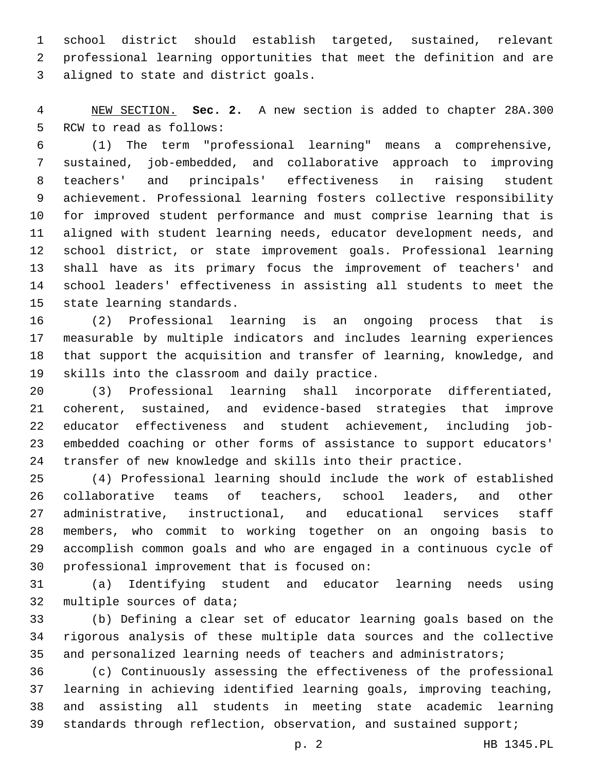school district should establish targeted, sustained, relevant professional learning opportunities that meet the definition and are 3 aligned to state and district goals.

 NEW SECTION. **Sec. 2.** A new section is added to chapter 28A.300 5 RCW to read as follows:

 (1) The term "professional learning" means a comprehensive, sustained, job-embedded, and collaborative approach to improving teachers' and principals' effectiveness in raising student achievement. Professional learning fosters collective responsibility for improved student performance and must comprise learning that is aligned with student learning needs, educator development needs, and school district, or state improvement goals. Professional learning shall have as its primary focus the improvement of teachers' and school leaders' effectiveness in assisting all students to meet the 15 state learning standards.

 (2) Professional learning is an ongoing process that is measurable by multiple indicators and includes learning experiences that support the acquisition and transfer of learning, knowledge, and 19 skills into the classroom and daily practice.

 (3) Professional learning shall incorporate differentiated, coherent, sustained, and evidence-based strategies that improve educator effectiveness and student achievement, including job- embedded coaching or other forms of assistance to support educators' transfer of new knowledge and skills into their practice.

 (4) Professional learning should include the work of established collaborative teams of teachers, school leaders, and other administrative, instructional, and educational services staff members, who commit to working together on an ongoing basis to accomplish common goals and who are engaged in a continuous cycle of 30 professional improvement that is focused on:

 (a) Identifying student and educator learning needs using 32 multiple sources of data;

 (b) Defining a clear set of educator learning goals based on the rigorous analysis of these multiple data sources and the collective 35 and personalized learning needs of teachers and administrators;

 (c) Continuously assessing the effectiveness of the professional learning in achieving identified learning goals, improving teaching, and assisting all students in meeting state academic learning 39 standards through reflection, observation, and sustained support;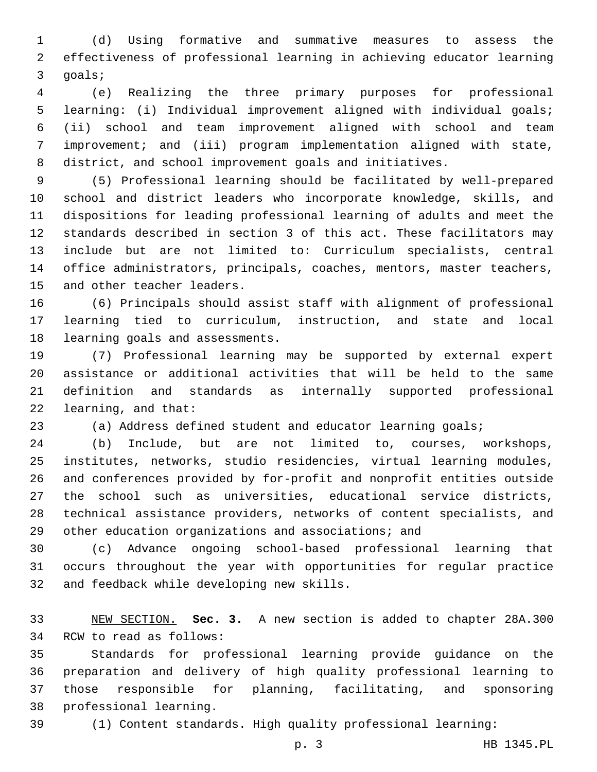(d) Using formative and summative measures to assess the effectiveness of professional learning in achieving educator learning 3 goals;

 (e) Realizing the three primary purposes for professional learning: (i) Individual improvement aligned with individual goals; (ii) school and team improvement aligned with school and team improvement; and (iii) program implementation aligned with state, district, and school improvement goals and initiatives.

 (5) Professional learning should be facilitated by well-prepared school and district leaders who incorporate knowledge, skills, and dispositions for leading professional learning of adults and meet the standards described in section 3 of this act. These facilitators may include but are not limited to: Curriculum specialists, central office administrators, principals, coaches, mentors, master teachers, 15 and other teacher leaders.

 (6) Principals should assist staff with alignment of professional learning tied to curriculum, instruction, and state and local 18 learning goals and assessments.

 (7) Professional learning may be supported by external expert assistance or additional activities that will be held to the same definition and standards as internally supported professional 22 learning, and that:

(a) Address defined student and educator learning goals;

 (b) Include, but are not limited to, courses, workshops, institutes, networks, studio residencies, virtual learning modules, and conferences provided by for-profit and nonprofit entities outside the school such as universities, educational service districts, technical assistance providers, networks of content specialists, and other education organizations and associations; and

 (c) Advance ongoing school-based professional learning that occurs throughout the year with opportunities for regular practice 32 and feedback while developing new skills.

 NEW SECTION. **Sec. 3.** A new section is added to chapter 28A.300 34 RCW to read as follows:

 Standards for professional learning provide guidance on the preparation and delivery of high quality professional learning to those responsible for planning, facilitating, and sponsoring 38 professional learning.

(1) Content standards. High quality professional learning: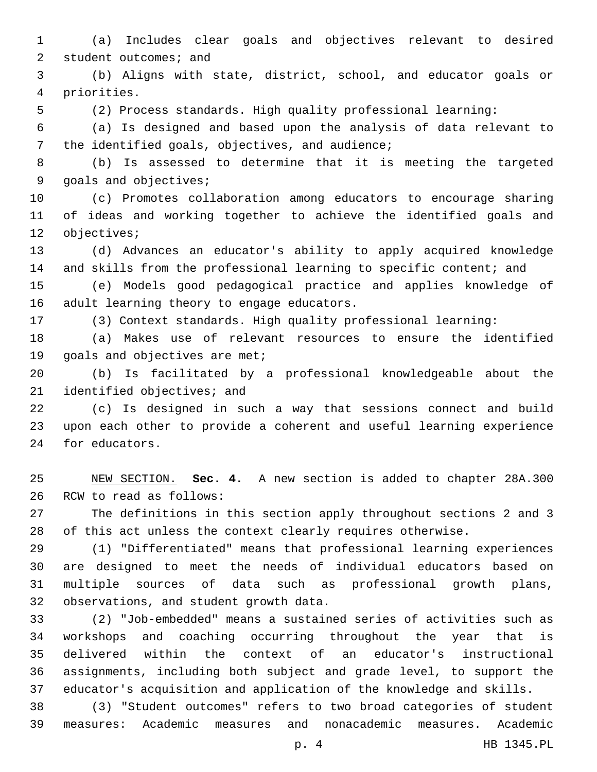(a) Includes clear goals and objectives relevant to desired 2 student outcomes; and

 (b) Aligns with state, district, school, and educator goals or priorities.4

(2) Process standards. High quality professional learning:

 (a) Is designed and based upon the analysis of data relevant to 7 the identified goals, objectives, and audience;

 (b) Is assessed to determine that it is meeting the targeted 9 goals and objectives;

 (c) Promotes collaboration among educators to encourage sharing of ideas and working together to achieve the identified goals and 12 objectives;

 (d) Advances an educator's ability to apply acquired knowledge and skills from the professional learning to specific content; and

 (e) Models good pedagogical practice and applies knowledge of 16 adult learning theory to engage educators.

(3) Context standards. High quality professional learning:

 (a) Makes use of relevant resources to ensure the identified 19 goals and objectives are met;

 (b) Is facilitated by a professional knowledgeable about the 21 identified objectives; and

 (c) Is designed in such a way that sessions connect and build upon each other to provide a coherent and useful learning experience 24 for educators.

 NEW SECTION. **Sec. 4.** A new section is added to chapter 28A.300 26 RCW to read as follows:

 The definitions in this section apply throughout sections 2 and 3 of this act unless the context clearly requires otherwise.

 (1) "Differentiated" means that professional learning experiences are designed to meet the needs of individual educators based on multiple sources of data such as professional growth plans, 32 observations, and student growth data.

 (2) "Job-embedded" means a sustained series of activities such as workshops and coaching occurring throughout the year that is delivered within the context of an educator's instructional assignments, including both subject and grade level, to support the educator's acquisition and application of the knowledge and skills.

 (3) "Student outcomes" refers to two broad categories of student measures: Academic measures and nonacademic measures. Academic